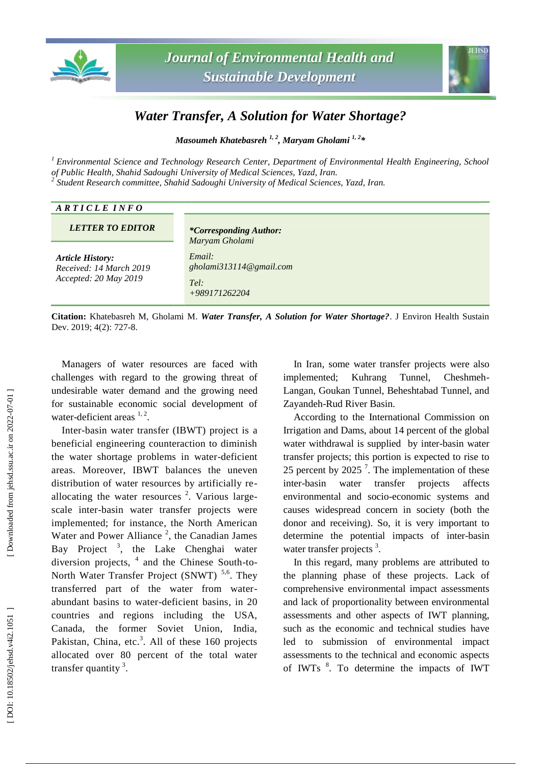



## *Water Transfer, A Solution for Water Shortage?*

*Masoumeh Khatebasreh 1, 2 , Maryam Gholami 1, 2 \**

*<sup>1</sup> Environmental Science and Technology Research Center, Department of Environmental Health Engineering, School of Public Health, Shahid Sadoughi University of Medical Sciences, Yazd, Iran. <sup>2</sup> Student Research committee, Shahid Sadoughi University of Medical Sciences, Yazd, Iran.*

| ARTICLE INFO                                                                |                                                                  |
|-----------------------------------------------------------------------------|------------------------------------------------------------------|
| <b>LETTER TO EDITOR</b>                                                     | <i>*Corresponding Author:</i><br>Maryam Gholami                  |
| <b>Article History:</b><br>Received: 14 March 2019<br>Accepted: 20 May 2019 | Email:<br>gholami $313114@$ gmail.com<br>Tel:<br>$+989171262204$ |

**Citation:** Khatebasreh M, Gholami M . *Water Transfer, A Solution for Water Shortage?*. J Environ Health Sustain Dev. 2019; 4(2): 727 -8.

Managers of water resources are faced with challenges with regard to the growing threat of undesirable water demand and the growing need for sustainable economic social development of water-deficient areas  $1, 2$ .

Inter -basin water transfer (IBWT) project is a beneficial engineering counteraction to diminish the water shortage problems in water -deficient areas. Moreover, IBWT balances the uneven distribution of water resources by artificially re allocating the water resources  $2$ . Various largescale inter -basin water transfer projects were implemented; for instance, the North American Water and Power Alliance<sup>2</sup>, the Canadian James Bay Project<sup>3</sup>, the Lake Chenghai water diversion projects, <sup>4</sup> and the Chinese South-to-North Water Transfer Project (SNWT)<sup>5,6</sup>. They transferred part of the water from water abundant basins to water -deficient basins , in 20 countries and regions including the USA, Canada, the former Soviet Union, India, Pakistan, China, etc.<sup>3</sup>. All of these 160 projects allocated over 80 percent of the total water transfer quantity  $3$ .

In Iran, some water transfer projects were also implemented; Kuhrang Tunnel, Cheshmeh-Langan, Goukan Tunnel, Beheshtabad Tunnel, and Zayandeh -Rud River Basin.

According to the International Commission on Irrigation and Dams, about 14 percent of the global water withdrawal is supplied by inter -basin water transfer projects; this portion is expected to rise to 25 percent by 2025<sup> $7$ </sup>. The implementation of these inter-basin water transfer projects affects environmental and socio -economic systems and cause s widespread concern in society (both the donor and receiving). So , it is very important to determine the potential impacts of inter -basin water transfer projects<sup>3</sup>.

In this regard, many problems are attributed to the planning phase of these projects. Lack of comprehensive environmental impact assessments and lack of proportionality between environmental assessments and other aspects of I WT planning, such as the economic and technical studies have led to submission of environmental impact assessments to the technical and economic aspects of IWTs<sup>8</sup>. To determine the impacts of IWT